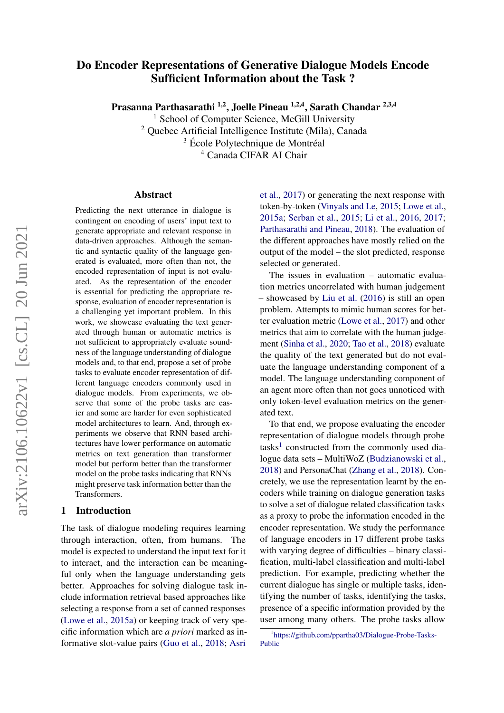# Do Encoder Representations of Generative Dialogue Models Encode Sufficient Information about the Task ?

Prasanna Parthasarathi <sup>1,2</sup>, Joelle Pineau <sup>1,2,4</sup>, Sarath Chandar <sup>2,3,4</sup>

<sup>1</sup> School of Computer Science, McGill University <sup>2</sup> Quebec Artificial Intelligence Institute (Mila), Canada

<sup>3</sup> École Polytechnique de Montréal

<sup>4</sup> Canada CIFAR AI Chair

#### Abstract

Predicting the next utterance in dialogue is contingent on encoding of users' input text to generate appropriate and relevant response in data-driven approaches. Although the semantic and syntactic quality of the language generated is evaluated, more often than not, the encoded representation of input is not evaluated. As the representation of the encoder is essential for predicting the appropriate response, evaluation of encoder representation is a challenging yet important problem. In this work, we showcase evaluating the text generated through human or automatic metrics is not sufficient to appropriately evaluate soundness of the language understanding of dialogue models and, to that end, propose a set of probe tasks to evaluate encoder representation of different language encoders commonly used in dialogue models. From experiments, we observe that some of the probe tasks are easier and some are harder for even sophisticated model architectures to learn. And, through experiments we observe that RNN based architectures have lower performance on automatic metrics on text generation than transformer model but perform better than the transformer model on the probe tasks indicating that RNNs might preserve task information better than the Transformers.

### 1 Introduction

The task of dialogue modeling requires learning through interaction, often, from humans. The model is expected to understand the input text for it to interact, and the interaction can be meaningful only when the language understanding gets better. Approaches for solving dialogue task include information retrieval based approaches like selecting a response from a set of canned responses [\(Lowe et al.,](#page-8-0) [2015a\)](#page-8-0) or keeping track of very specific information which are *a priori* marked as informative slot-value pairs [\(Guo et al.,](#page-8-1) [2018;](#page-8-1) [Asri](#page-8-2) [et al.,](#page-8-2) [2017\)](#page-8-2) or generating the next response with token-by-token [\(Vinyals and Le,](#page-9-0) [2015;](#page-9-0) [Lowe et al.,](#page-8-0) [2015a;](#page-8-0) [Serban et al.,](#page-9-1) [2015;](#page-9-1) [Li et al.,](#page-8-3) [2016,](#page-8-3) [2017;](#page-8-4) [Parthasarathi and Pineau,](#page-9-2) [2018\)](#page-9-2). The evaluation of the different approaches have mostly relied on the output of the model – the slot predicted, response selected or generated.

The issues in evaluation – automatic evaluation metrics uncorrelated with human judgement – showcased by [Liu et al.](#page-8-5) [\(2016\)](#page-8-5) is still an open problem. Attempts to mimic human scores for better evaluation metric [\(Lowe et al.,](#page-8-6) [2017\)](#page-8-6) and other metrics that aim to correlate with the human judgement [\(Sinha et al.,](#page-9-3) [2020;](#page-9-3) [Tao et al.,](#page-9-4) [2018\)](#page-9-4) evaluate the quality of the text generated but do not evaluate the language understanding component of a model. The language understanding component of an agent more often than not goes unnoticed with only token-level evaluation metrics on the generated text.

To that end, we propose evaluating the encoder representation of dialogue models through probe tasks<sup>[1](#page-0-0)</sup> constructed from the commonly used dialogue data sets – MultiWoZ [\(Budzianowski et al.,](#page-8-7) [2018\)](#page-8-7) and PersonaChat [\(Zhang et al.,](#page-9-5) [2018\)](#page-9-5). Concretely, we use the representation learnt by the encoders while training on dialogue generation tasks to solve a set of dialogue related classification tasks as a proxy to probe the information encoded in the encoder representation. We study the performance of language encoders in 17 different probe tasks with varying degree of difficulties – binary classification, multi-label classification and multi-label prediction. For example, predicting whether the current dialogue has single or multiple tasks, identifying the number of tasks, identifying the tasks, presence of a specific information provided by the user among many others. The probe tasks allow

<span id="page-0-0"></span><sup>1</sup> [https://github.com/ppartha03/Dialogue-Probe-Tasks-](https://github.com/ppartha03/Dialogue-Probe-Tasks-Public)[Public](https://github.com/ppartha03/Dialogue-Probe-Tasks-Public)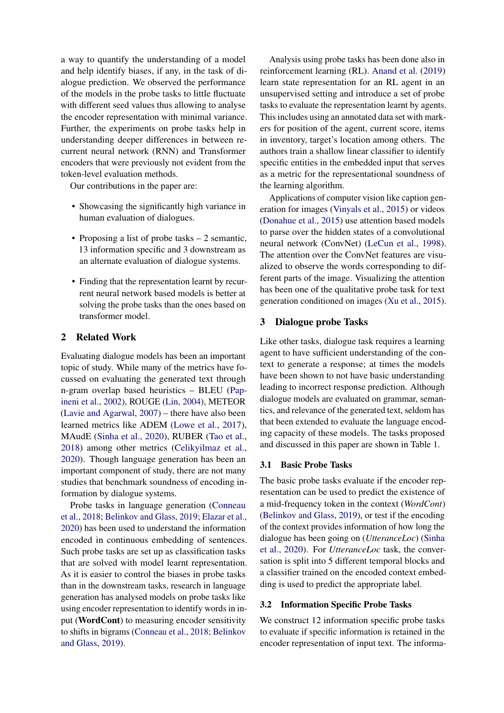a way to quantify the understanding of a model and help identify biases, if any, in the task of dialogue prediction. We observed the performance of the models in the probe tasks to little fluctuate with different seed values thus allowing to analyse the encoder representation with minimal variance. Further, the experiments on probe tasks help in understanding deeper differences in between recurrent neural network (RNN) and Transformer encoders that were previously not evident from the token-level evaluation methods.

Our contributions in the paper are:

- Showcasing the significantly high variance in human evaluation of dialogues.
- Proposing a list of probe tasks 2 semantic, 13 information specific and 3 downstream as an alternate evaluation of dialogue systems.
- Finding that the representation learnt by recurrent neural network based models is better at solving the probe tasks than the ones based on transformer model.

## 2 Related Work

Evaluating dialogue models has been an important topic of study. While many of the metrics have focussed on evaluating the generated text through n-gram overlap based heuristics – BLEU [\(Pap](#page-9-6)[ineni et al.,](#page-9-6) [2002\)](#page-9-6), ROUGE [\(Lin,](#page-8-8) [2004\)](#page-8-8), METEOR [\(Lavie and Agarwal,](#page-8-9) [2007\)](#page-8-9) – there have also been learned metrics like ADEM [\(Lowe et al.,](#page-8-6) [2017\)](#page-8-6), MAudE [\(Sinha et al.,](#page-9-3) [2020\)](#page-9-3), RUBER [\(Tao et al.,](#page-9-4) [2018\)](#page-9-4) among other metrics [\(Celikyilmaz et al.,](#page-8-10) [2020\)](#page-8-10). Though language generation has been an important component of study, there are not many studies that benchmark soundness of encoding information by dialogue systems.

Probe tasks in language generation [\(Conneau](#page-8-11) [et al.,](#page-8-11) [2018;](#page-8-11) [Belinkov and Glass,](#page-8-12) [2019;](#page-8-12) [Elazar et al.,](#page-8-13) [2020\)](#page-8-13) has been used to understand the information encoded in continuous embedding of sentences. Such probe tasks are set up as classification tasks that are solved with model learnt representation. As it is easier to control the biases in probe tasks than in the downstream tasks, research in language generation has analysed models on probe tasks like using encoder representation to identify words in input (WordCont) to measuring encoder sensitivity to shifts in bigrams [\(Conneau et al.,](#page-8-11) [2018;](#page-8-11) [Belinkov](#page-8-12) [and Glass,](#page-8-12) [2019\)](#page-8-12).

Analysis using probe tasks has been done also in reinforcement learning (RL). [Anand et al.](#page-8-14) [\(2019\)](#page-8-14) learn state representation for an RL agent in an unsupervised setting and introduce a set of probe tasks to evaluate the representation learnt by agents. This includes using an annotated data set with markers for position of the agent, current score, items in inventory, target's location among others. The authors train a shallow linear classifier to identify specific entities in the embedded input that serves as a metric for the representational soundness of the learning algorithm.

Applications of computer vision like caption generation for images [\(Vinyals et al.,](#page-9-7) [2015\)](#page-9-7) or videos [\(Donahue et al.,](#page-8-15) [2015\)](#page-8-15) use attention based models to parse over the hidden states of a convolutional neural network (ConvNet) [\(LeCun et al.,](#page-8-16) [1998\)](#page-8-16). The attention over the ConvNet features are visualized to observe the words corresponding to different parts of the image. Visualizing the attention has been one of the qualitative probe task for text generation conditioned on images [\(Xu et al.,](#page-9-8) [2015\)](#page-9-8).

## 3 Dialogue probe Tasks

Like other tasks, dialogue task requires a learning agent to have sufficient understanding of the context to generate a response; at times the models have been shown to not have basic understanding leading to incorrect response prediction. Although dialogue models are evaluated on grammar, semantics, and relevance of the generated text, seldom has that been extended to evaluate the language encoding capacity of these models. The tasks proposed and discussed in this paper are shown in Table [1.](#page-2-0)

#### 3.1 Basic Probe Tasks

The basic probe tasks evaluate if the encoder representation can be used to predict the existence of a mid-frequency token in the context (*WordCont*) [\(Belinkov and Glass,](#page-8-12) [2019\)](#page-8-12), or test if the encoding of the context provides information of how long the dialogue has been going on (*UtteranceLoc*) [\(Sinha](#page-9-3) [et al.,](#page-9-3) [2020\)](#page-9-3). For *UtteranceLoc* task, the conversation is split into 5 different temporal blocks and a classifier trained on the encoded context embedding is used to predict the appropriate label.

## 3.2 Information Specific Probe Tasks

We construct 12 information specific probe tasks to evaluate if specific information is retained in the encoder representation of input text. The informa-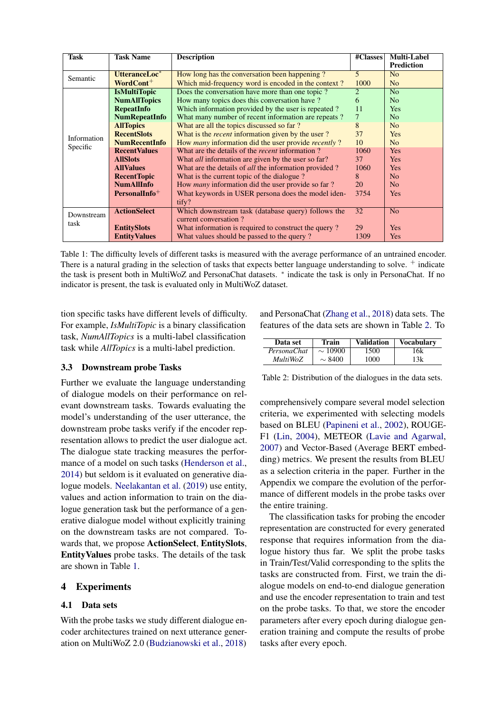<span id="page-2-0"></span>

| <b>Task</b> | <b>Task Name</b>          | <b>Description</b>                                                 | #Classes       | <b>Multi-Label</b> |
|-------------|---------------------------|--------------------------------------------------------------------|----------------|--------------------|
|             |                           |                                                                    |                | <b>Prediction</b>  |
| Semantic    | UtteranceLoc <sup>*</sup> | How long has the conversation been happening?                      | $\overline{5}$ | N <sub>o</sub>     |
|             | WordCont <sup>+</sup>     | Which mid-frequency word is encoded in the context?                | 1000           | N <sub>o</sub>     |
|             | <b>IsMultiTopic</b>       | Does the conversation have more than one topic?                    | 2              | N <sub>o</sub>     |
|             | <b>NumAllTopics</b>       | How many topics does this conversation have?                       | 6              | N <sub>o</sub>     |
|             | <b>RepeatInfo</b>         | Which information provided by the user is repeated?                | 11             | <b>Yes</b>         |
|             | <b>NumRepeatInfo</b>      | What many number of recent information are repeats?                | $\overline{7}$ | No                 |
|             | <b>AllTopics</b>          | What are all the topics discussed so far?                          | 8              | N <sub>o</sub>     |
| Information | <b>RecentSlots</b>        | What is the <i>recent</i> information given by the user?           | 37             | <b>Yes</b>         |
|             | <b>NumRecentInfo</b>      | How <i>many</i> information did the user provide <i>recently</i> ? | 10             | No                 |
| Specific    | <b>RecentValues</b>       | What are the details of the <i>recent</i> information?             | 1060           | Yes                |
|             | <b>AllSlots</b>           | What <i>all</i> information are given by the user so far?          | 37             | Yes                |
|             | <b>AllValues</b>          | What are the details of <i>all</i> the information provided?       | 1060           | <b>Yes</b>         |
|             | <b>RecentTopic</b>        | What is the current topic of the dialogue?                         | 8              | N <sub>o</sub>     |
|             | <b>NumAllInfo</b>         | How <i>many</i> information did the user provide so far?           | 20             | N <sub>o</sub>     |
|             | $PersonalInfo+$           | What keywords in USER persona does the model iden-                 | 3754           | Yes                |
|             |                           | tify?                                                              |                |                    |
| Downstream  | <b>ActionSelect</b>       | Which downstream task (database query) follows the                 | 32             | N <sub>o</sub>     |
| task        |                           | current conversation?                                              |                |                    |
|             | <b>EntitySlots</b>        | What information is required to construct the query?               | 29             | <b>Yes</b>         |
|             | <b>EntityValues</b>       | What values should be passed to the query?                         | 1309           | Yes                |

Table 1: The difficulty levels of different tasks is measured with the average performance of an untrained encoder. There is a natural grading in the selection of tasks that expects better language understanding to solve.  $+$  indicate the task is present both in MultiWoZ and PersonaChat datasets. <sup>\*</sup> indicate the task is only in PersonaChat. If no indicator is present, the task is evaluated only in MultiWoZ dataset.

tion specific tasks have different levels of difficulty. For example, *IsMultiTopic* is a binary classification task, *NumAllTopics* is a multi-label classification task while *AllTopics* is a multi-label prediction.

#### 3.3 Downstream probe Tasks

Further we evaluate the language understanding of dialogue models on their performance on relevant downstream tasks. Towards evaluating the model's understanding of the user utterance, the downstream probe tasks verify if the encoder representation allows to predict the user dialogue act. The dialogue state tracking measures the performance of a model on such tasks [\(Henderson et al.,](#page-8-17) [2014\)](#page-8-17) but seldom is it evaluated on generative dialogue models. [Neelakantan et al.](#page-9-9) [\(2019\)](#page-9-9) use entity, values and action information to train on the dialogue generation task but the performance of a generative dialogue model without explicitly training on the downstream tasks are not compared. Towards that, we propose ActionSelect, EntitySlots, EntityValues probe tasks. The details of the task are shown in Table [1.](#page-2-0)

#### 4 Experiments

#### 4.1 Data sets

With the probe tasks we study different dialogue encoder architectures trained on next utterance generation on MultiWoZ 2.0 [\(Budzianowski et al.,](#page-8-7) [2018\)](#page-8-7) and PersonaChat [\(Zhang et al.,](#page-9-5) [2018\)](#page-9-5) data sets. The features of the data sets are shown in Table [2.](#page-2-1) To

<span id="page-2-1"></span>

| Data set    | Train        | <b>Validation</b> | <b>Vocabulary</b> |
|-------------|--------------|-------------------|-------------------|
| PersonaChat | $\sim 10900$ | 1500              | '6k               |
| MultiWoZ    | $\sim 8400$  | 1000              | 13k               |

Table 2: Distribution of the dialogues in the data sets.

comprehensively compare several model selection criteria, we experimented with selecting models based on BLEU [\(Papineni et al.,](#page-9-6) [2002\)](#page-9-6), ROUGE-F1 [\(Lin,](#page-8-8) [2004\)](#page-8-8), METEOR [\(Lavie and Agarwal,](#page-8-9) [2007\)](#page-8-9) and Vector-Based (Average BERT embedding) metrics. We present the results from BLEU as a selection criteria in the paper. Further in the Appendix we compare the evolution of the performance of different models in the probe tasks over the entire training.

The classification tasks for probing the encoder representation are constructed for every generated response that requires information from the dialogue history thus far. We split the probe tasks in Train/Test/Valid corresponding to the splits the tasks are constructed from. First, we train the dialogue models on end-to-end dialogue generation and use the encoder representation to train and test on the probe tasks. To that, we store the encoder parameters after every epoch during dialogue generation training and compute the results of probe tasks after every epoch.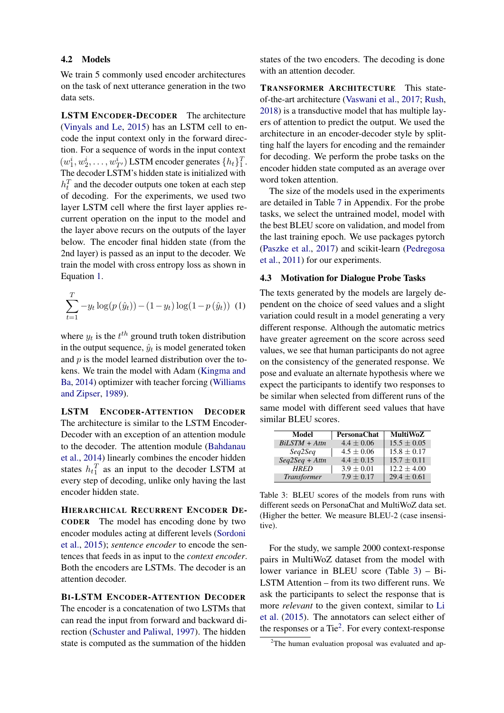### 4.2 Models

We train 5 commonly used encoder architectures on the task of next utterance generation in the two data sets.

LSTM ENCODER-DECODER The architecture [\(Vinyals and Le,](#page-9-0) [2015\)](#page-9-0) has an LSTM cell to encode the input context only in the forward direction. For a sequence of words in the input context  $(w_1^i, w_2^i, \ldots, w_{T'}^i)$  LSTM encoder generates  $\{h_t\}_1^T$ . The decoder LSTM's hidden state is initialized with  $h_t^T$  and the decoder outputs one token at each step of decoding. For the experiments, we used two layer LSTM cell where the first layer applies recurrent operation on the input to the model and the layer above recurs on the outputs of the layer below. The encoder final hidden state (from the 2nd layer) is passed as an input to the decoder. We train the model with cross entropy loss as shown in Equation [1.](#page-3-0)

<span id="page-3-0"></span>
$$
\sum_{t=1}^{T} -y_t \log(p(\hat{y}_t)) - (1 - y_t) \log(1 - p(\hat{y}_t)) \tag{1}
$$

where  $y_t$  is the  $t^{th}$  ground truth token distribution in the output sequence,  $\hat{y}_t$  is model generated token and  $p$  is the model learned distribution over the tokens. We train the model with Adam [\(Kingma and](#page-8-18) [Ba,](#page-8-18) [2014\)](#page-8-18) optimizer with teacher forcing [\(Williams](#page-9-10) [and Zipser,](#page-9-10) [1989\)](#page-9-10).

LSTM ENCODER-ATTENTION DECODER The architecture is similar to the LSTM Encoder-Decoder with an exception of an attention module to the decoder. The attention module [\(Bahdanau](#page-8-19) [et al.,](#page-8-19) [2014\)](#page-8-19) linearly combines the encoder hidden states  $h_t$ <sup>T</sup> as an input to the decoder LSTM at every step of decoding, unlike only having the last encoder hidden state.

HIERARCHICAL RECURRENT ENCODER DE-CODER The model has encoding done by two encoder modules acting at different levels [\(Sordoni](#page-9-11) [et al.,](#page-9-11) [2015\)](#page-9-11); *sentence encoder* to encode the sentences that feeds in as input to the *context encoder*. Both the encoders are LSTMs. The decoder is an attention decoder.

BI-LSTM ENCODER-ATTENTION DECODER The encoder is a concatenation of two LSTMs that can read the input from forward and backward direction [\(Schuster and Paliwal,](#page-9-12) [1997\)](#page-9-12). The hidden state is computed as the summation of the hidden states of the two encoders. The decoding is done with an attention decoder.

TRANSFORMER ARCHITECTURE This stateof-the-art architecture [\(Vaswani et al.,](#page-9-13) [2017;](#page-9-13) [Rush,](#page-9-14) [2018\)](#page-9-14) is a transductive model that has multiple layers of attention to predict the output. We used the architecture in an encoder-decoder style by splitting half the layers for encoding and the remainder for decoding. We perform the probe tasks on the encoder hidden state computed as an average over word token attention.

The size of the models used in the experiments are detailed in Table [7](#page-10-0) in Appendix. For the probe tasks, we select the untrained model, model with the best BLEU score on validation, and model from the last training epoch. We use packages pytorch [\(Paszke et al.,](#page-9-15) [2017\)](#page-9-15) and scikit-learn [\(Pedregosa](#page-9-16) [et al.,](#page-9-16) [2011\)](#page-9-16) for our experiments.

## 4.3 Motivation for Dialogue Probe Tasks

The texts generated by the models are largely dependent on the choice of seed values and a slight variation could result in a model generating a very different response. Although the automatic metrics have greater agreement on the score across seed values, we see that human participants do not agree on the consistency of the generated response. We pose and evaluate an alternate hypothesis where we expect the participants to identify two responses to be similar when selected from different runs of the same model with different seed values that have similar BLEU scores.

<span id="page-3-1"></span>

| Model              | PersonaChat    | <b>MultiWoZ</b> |
|--------------------|----------------|-----------------|
| $BiLSTM + Attn$    | $4.4 \pm 0.06$ | $15.5 + 0.05$   |
| Seg2Seg            | $4.5 \pm 0.06$ | $15.8 + 0.17$   |
| $Seq2Seq + Attn$   | $4.4 \pm 0.15$ | $15.7 + 0.11$   |
| <b>HRED</b>        | $3.9 \pm 0.01$ | $12.2 \pm 4.00$ |
| <b>Transformer</b> | $7.9 \pm 0.17$ | $29.4 \pm 0.61$ |

Table 3: BLEU scores of the models from runs with different seeds on PersonaChat and MultiWoZ data set. (Higher the better. We measure BLEU-2 (case insensitive).

For the study, we sample 2000 context-response pairs in MultiWoZ dataset from the model with lower variance in BLEU score (Table [3\)](#page-3-1) – Bi-LSTM Attention – from its two different runs. We ask the participants to select the response that is more *relevant* to the given context, similar to [Li](#page-8-20) [et al.](#page-8-20) [\(2015\)](#page-8-20). The annotators can select either of the responses or a Tie<sup>[2](#page-3-2)</sup>. For every context-response

<span id="page-3-2"></span><sup>&</sup>lt;sup>2</sup>The human evaluation proposal was evaluated and ap-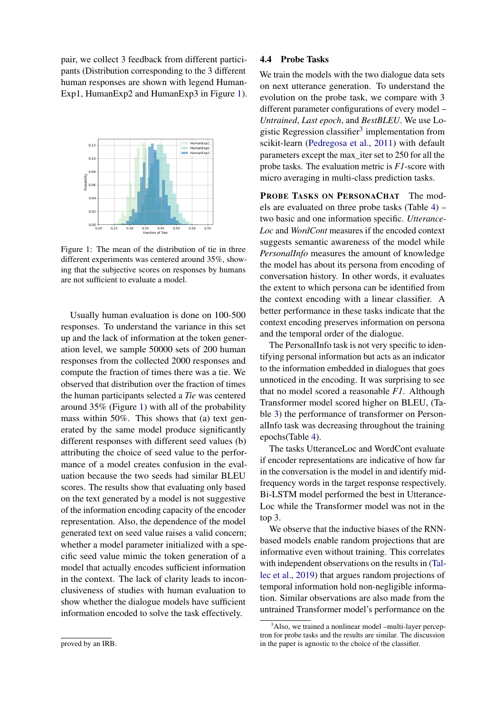pair, we collect 3 feedback from different participants (Distribution corresponding to the 3 different human responses are shown with legend Human-Exp1, HumanExp2 and HumanExp3 in Figure [1\)](#page-4-0).

<span id="page-4-0"></span>

Figure 1: The mean of the distribution of tie in three different experiments was centered around 35%, showing that the subjective scores on responses by humans are not sufficient to evaluate a model.

Usually human evaluation is done on 100-500 responses. To understand the variance in this set up and the lack of information at the token generation level, we sample 50000 sets of 200 human responses from the collected 2000 responses and compute the fraction of times there was a tie. We observed that distribution over the fraction of times the human participants selected a *Tie* was centered around 35% (Figure [1\)](#page-4-0) with all of the probability mass within 50%. This shows that (a) text generated by the same model produce significantly different responses with different seed values (b) attributing the choice of seed value to the performance of a model creates confusion in the evaluation because the two seeds had similar BLEU scores. The results show that evaluating only based on the text generated by a model is not suggestive of the information encoding capacity of the encoder representation. Also, the dependence of the model generated text on seed value raises a valid concern; whether a model parameter initialized with a specific seed value mimic the token generation of a model that actually encodes sufficient information in the context. The lack of clarity leads to inconclusiveness of studies with human evaluation to show whether the dialogue models have sufficient information encoded to solve the task effectively.

#### proved by an IRB.

#### 4.4 Probe Tasks

We train the models with the two dialogue data sets on next utterance generation. To understand the evolution on the probe task, we compare with 3 different parameter configurations of every model – *Untrained*, *Last epoch*, and *BestBLEU*. We use Lo-gistic Regression classifier<sup>[3](#page-4-1)</sup> implementation from scikit-learn [\(Pedregosa et al.,](#page-9-16) [2011\)](#page-9-16) with default parameters except the max\_iter set to 250 for all the probe tasks. The evaluation metric is *F1*-score with micro averaging in multi-class prediction tasks.

PROBE TASKS ON PERSONACHAT The models are evaluated on three probe tasks (Table [4\)](#page-5-0) – two basic and one information specific. *Utterance-Loc* and *WordCont* measures if the encoded context suggests semantic awareness of the model while *PersonalInfo* measures the amount of knowledge the model has about its persona from encoding of conversation history. In other words, it evaluates the extent to which persona can be identified from the context encoding with a linear classifier. A better performance in these tasks indicate that the context encoding preserves information on persona and the temporal order of the dialogue.

The PersonalInfo task is not very specific to identifying personal information but acts as an indicator to the information embedded in dialogues that goes unnoticed in the encoding. It was surprising to see that no model scored a reasonable *F1*. Although Transformer model scored higher on BLEU, (Table [3\)](#page-3-1) the performance of transformer on PersonalInfo task was decreasing throughout the training epochs(Table [4\)](#page-5-0).

The tasks UtteranceLoc and WordCont evaluate if encoder representations are indicative of how far in the conversation is the model in and identify midfrequency words in the target response respectively. Bi-LSTM model performed the best in Utterance-Loc while the Transformer model was not in the top 3.

We observe that the inductive biases of the RNNbased models enable random projections that are informative even without training. This correlates with independent observations on the results in [\(Tal](#page-9-17)[lec et al.,](#page-9-17) [2019\)](#page-9-17) that argues random projections of temporal information hold non-negligible information. Similar observations are also made from the untrained Transformer model's performance on the

<span id="page-4-1"></span><sup>&</sup>lt;sup>3</sup>Also, we trained a nonlinear model –multi-layer perceptron for probe tasks and the results are similar. The discussion in the paper is agnostic to the choice of the classifier.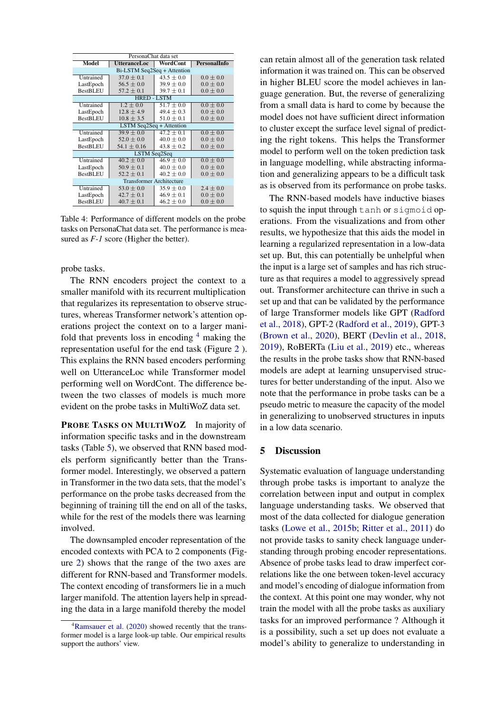<span id="page-5-0"></span>

| PersonaChat data set            |                          |                |                     |  |  |  |  |  |
|---------------------------------|--------------------------|----------------|---------------------|--|--|--|--|--|
| Model                           | <b>UtteranceLoc</b>      | WordCont       | <b>PersonalInfo</b> |  |  |  |  |  |
| Bi-LSTM Seq2Seq + Attention     |                          |                |                     |  |  |  |  |  |
| Untrained                       | $37.0 \pm 0.1$           | $43.5 \pm 0.0$ | $0.0 \pm 0.0$       |  |  |  |  |  |
| LastEpoch                       | $56.5 \pm 0.0$           | $39.9 \pm 0.0$ | $0.0 \pm 0.0$       |  |  |  |  |  |
| <b>BestBLEU</b>                 | $57.2 \pm 0.1$           | $39.7 \pm 0.1$ | $0.0 \pm 0.0$       |  |  |  |  |  |
|                                 | <b>HRED - LSTM</b>       |                |                     |  |  |  |  |  |
| Untrained                       | $1.2 \pm 0.0$            | $51.7 \pm 0.0$ | $0.0 \pm 0.0$       |  |  |  |  |  |
| LastEpoch                       | $12.8 \pm 4.9$           | $49.4 \pm 0.3$ | $0.0 \pm 0.0$       |  |  |  |  |  |
| <b>BestBLEU</b>                 | $10.8 \pm 3.5$           | $51.0 \pm 0.1$ | $0.0 \pm 0.0$       |  |  |  |  |  |
|                                 | LSTM Seq2Seq + Attention |                |                     |  |  |  |  |  |
| Untrained                       | $39.9 \pm 0.0$           | $47.2 \pm 0.1$ | $0.0 \pm 0.0$       |  |  |  |  |  |
| LastEpoch                       | $52.0 \pm 0.0$           | $40.0 \pm 0.0$ | $0.0 \pm 0.0$       |  |  |  |  |  |
| <b>BestBLEU</b>                 | $54.1 \pm 0.16$          | $43.8 \pm 0.2$ | $0.0 \pm 0.0$       |  |  |  |  |  |
|                                 | LSTM Seq2Seq             |                |                     |  |  |  |  |  |
| Untrained                       | $40.2 + 0.0$             | $46.9 \pm 0.0$ | $0.0 \pm 0.0$       |  |  |  |  |  |
| LastEpoch                       | $50.9 \pm 0.1$           | $40.0 \pm 0.0$ | $0.0 \pm 0.0$       |  |  |  |  |  |
| <b>BestBLEU</b>                 | $52.2 \pm 0.1$           | $40.2 \pm 0.0$ | $0.0 \pm 0.0$       |  |  |  |  |  |
| <b>Transformer Architecture</b> |                          |                |                     |  |  |  |  |  |
| Untrained                       | $53.0 \pm 0.0$           | $35.9 \pm 0.0$ | $2.4 \pm 0.0$       |  |  |  |  |  |
| LastEpoch                       | $42.7 \pm 0.1$           | $46.9 \pm 0.1$ | $0.0 \pm 0.0$       |  |  |  |  |  |
| <b>BestBLEU</b>                 | $40.7 \pm 0.1$           | $46.2 \pm 0.0$ | $0.0 \pm 0.0$       |  |  |  |  |  |

Table 4: Performance of different models on the probe tasks on PersonaChat data set. The performance is measured as  $F-1$  score (Higher the better).

probe tasks.

The RNN encoders project the context to a smaller manifold with its recurrent multiplication that regularizes its representation to observe structures, whereas Transformer network's attention operations project the context on to a larger manifold that prevents loss in encoding  $4$  making the representation useful for the end task (Figure [2](#page-7-0) ). This explains the RNN based encoders performing well on UtteranceLoc while Transformer model performing well on WordCont. The difference between the two classes of models is much more evident on the probe tasks in MultiWoZ data set.

PROBE TASKS ON MULTIWOZ In majority of information specific tasks and in the downstream tasks (Table [5\)](#page-6-0), we observed that RNN based models perform significantly better than the Transformer model. Interestingly, we observed a pattern in Transformer in the two data sets, that the model's performance on the probe tasks decreased from the beginning of training till the end on all of the tasks, while for the rest of the models there was learning involved.

The downsampled encoder representation of the encoded contexts with PCA to 2 components (Figure [2\)](#page-7-0) shows that the range of the two axes are different for RNN-based and Transformer models. The context encoding of transformers lie in a much larger manifold. The attention layers help in spreading the data in a large manifold thereby the model

can retain almost all of the generation task related information it was trained on. This can be observed in higher BLEU score the model achieves in language generation. But, the reverse of generalizing from a small data is hard to come by because the model does not have sufficient direct information to cluster except the surface level signal of predicting the right tokens. This helps the Transformer model to perform well on the token prediction task in language modelling, while abstracting information and generalizing appears to be a difficult task as is observed from its performance on probe tasks.

The RNN-based models have inductive biases to squish the input through tanh or sigmoid operations. From the visualizations and from other results, we hypothesize that this aids the model in learning a regularized representation in a low-data set up. But, this can potentially be unhelpful when the input is a large set of samples and has rich structure as that requires a model to aggressively spread out. Transformer architecture can thrive in such a set up and that can be validated by the performance of large Transformer models like GPT [\(Radford](#page-9-19) [et al.,](#page-9-19) [2018\)](#page-9-19), GPT-2 [\(Radford et al.,](#page-9-20) [2019\)](#page-9-20), GPT-3 [\(Brown et al.,](#page-8-21) [2020\)](#page-8-21), BERT [\(Devlin et al.,](#page-8-22) [2018,](#page-8-22) [2019\)](#page-8-23), RoBERTa [\(Liu et al.,](#page-8-24) [2019\)](#page-8-24) etc., whereas the results in the probe tasks show that RNN-based models are adept at learning unsupervised structures for better understanding of the input. Also we note that the performance in probe tasks can be a pseudo metric to measure the capacity of the model in generalizing to unobserved structures in inputs in a low data scenario.

## 5 Discussion

Systematic evaluation of language understanding through probe tasks is important to analyze the correlation between input and output in complex language understanding tasks. We observed that most of the data collected for dialogue generation tasks [\(Lowe et al.,](#page-9-21) [2015b;](#page-9-21) [Ritter et al.,](#page-9-22) [2011\)](#page-9-22) do not provide tasks to sanity check language understanding through probing encoder representations. Absence of probe tasks lead to draw imperfect correlations like the one between token-level accuracy and model's encoding of dialogue information from the context. At this point one may wonder, why not train the model with all the probe tasks as auxiliary tasks for an improved performance ? Although it is a possibility, such a set up does not evaluate a model's ability to generalize to understanding in

<span id="page-5-1"></span> ${}^{4}$ [Ramsauer et al.](#page-9-18) [\(2020\)](#page-9-18) showed recently that the transformer model is a large look-up table. Our empirical results support the authors' view.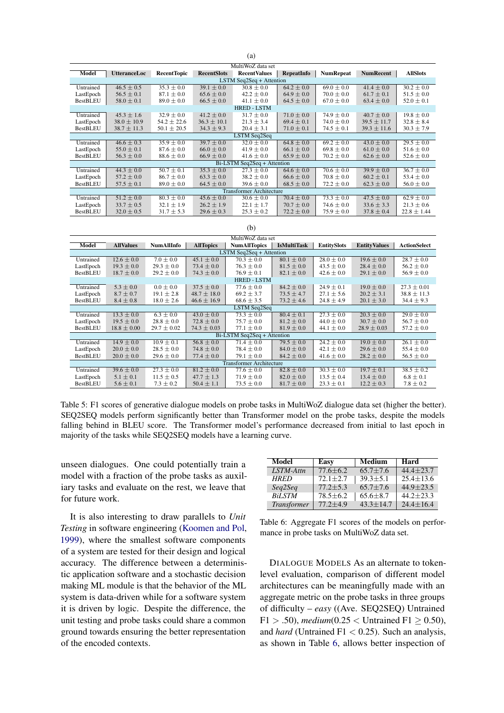<span id="page-6-0"></span>

| MultiWoZ data set<br><b>RecentTopic</b><br><b>AllSlots</b><br><b>UtteranceLoc</b><br><b>RecentSlots</b><br><b>RecentValues</b><br>RepeatInfo<br><b>NumRepeat</b><br><b>NumRecent</b><br>Model<br>LSTM Seq2Seq + Attention<br>Untrained<br>$35.3 \pm 0.0$<br>$39.1 \pm 0.0$<br>$64.2 \pm 0.0$<br>$69.0 \pm 0.0$<br>$30.2 \pm 0.0$<br>$46.5 \pm 0.5$<br>$41.4 \pm 0.0$<br>$30.8 \pm 0.0$<br>LastEpoch<br>$56.5 \pm 0.1$<br>$42.2 \pm 0.0$<br>$64.9 \pm 0.0$<br>$70.0 \pm 0.0$<br>$61.7 \pm 0.1$<br>$51.5 \pm 0.0$<br>$87.1 \pm 0.0$<br>$65.6 \pm 0.0$<br><b>BestBLEU</b><br>$58.0 \pm 0.1$<br>$66.5 \pm 0.0$<br>$64.5 \pm 0.0$<br>$67.0 \pm 0.0$<br>$63.4 \pm 0.0$<br>$52.0 \pm 0.1$<br>$89.0 \pm 0.0$<br>$41.1 \pm 0.0$<br><b>HRED - LSTM</b><br>$\sqrt{41.2 \pm 0.0}$<br>$31.7 \pm 0.0$<br>$19.8 \pm 0.0$<br>$45.3 \pm 1.6$<br>$32.9 \pm 0.0$<br>$71.0 \pm 0.0$<br>$74.9 \pm 0.0$<br>$40.7 \pm 0.0$<br>Untrained<br>LastEpoch<br>$38.0 \pm 10.9$<br>$54.2 \pm 22.6$<br>$36.3 \pm 10.1$<br>$21.3 \pm 3.4$<br>$69.4 \pm 0.1$<br>$74.0 \pm 0.0$<br>$39.5 \pm 11.7$<br>$32.8 \pm 8.4$<br><b>BestBLEU</b><br>$38.7 \pm 11.3$<br>$34.3 \pm 9.3$<br>$20.4 \pm 3.1$<br>$71.0 \pm 0.1$<br>$74.5 \pm 0.1$<br>$39.3 \pm 11.6$<br>$30.3 \pm 7.9$<br>$50.1 \pm 20.5$<br>LSTM Seq2Seq<br>$35.9 \pm 0.0$<br>$39.7 \pm 0.0$<br>$64.8 \pm 0.0$<br>$43.0 \pm 0.0$<br>$29.5 \pm 0.0$<br>Untrained<br>$46.6 \pm 0.3$<br>$32.0 \pm 0.0$<br>$69.2 \pm 0.0$<br>LastEpoch<br>$55.0 \pm 0.1$<br>$66.0 \pm 0.0$<br>$41.9 \pm 0.0$<br>$66.1 \pm 0.0$<br>$69.8 \pm 0.0$<br>$61.0 \pm 0.0$<br>$87.6 \pm 0.0$<br>$51.6 \pm 0.0$<br><b>BestBLEU</b><br>$56.3 \pm 0.0$<br>$66.9 \pm 0.0$<br>$41.6 \pm 0.0$<br>$65.9 \pm 0.0$<br>$70.2 \pm 0.0$<br>$88.6 \pm 0.0$<br>$62.6 \pm 0.0$<br>$52.6 \pm 0.0$<br>Bi-LSTM Seq2Seq + Attention<br>$50.7 \pm 0.1$<br>$35.3 \pm 0.0$<br>$64.6 \pm 0.0$<br>$36.7 \pm 0.0$<br>$44.3 \pm 0.0$<br>$27.3 \pm 0.0$<br>$70.6 \pm 0.0$<br>$39.9 \pm 0.0$<br>Untrained<br>LastEpoch<br>$57.2 \pm 0.0$<br>$86.7 \pm 0.0$<br>$63.3 \pm 0.0$<br>$38.2 \pm 0.0$<br>$66.6 \pm 0.0$<br>$70.8 \pm 0.0$<br>$60.2 \pm 0.1$<br>$53.4 \pm 0.0$<br><b>BestBLEU</b><br>$68.5 \pm 0.0$<br>$72.2 \pm 0.0$<br>$57.5 \pm 0.1$<br>$89.0 \pm 0.0$<br>$64.5 \pm 0.0$<br>$39.6 \pm 0.0$<br>$62.3 \pm 0.0$<br>$56.0 \pm 0.0$<br><b>Transformer Architecture</b><br>$80.3 \pm 0.0$<br>$73.3 \pm 0.0$<br>$47.5 \pm 0.0$<br>$62.9 \pm 0.0$<br>$51.2 \pm 0.0$<br>Untrained<br>$45.6 \pm 0.0$<br>$30.6 \pm 0.0$<br>$70.4 \pm 0.0$<br>LastEpoch<br>$33.7 \pm 0.5$<br>$32.1 \pm 1.9$<br>$26.2 \pm 1.9$<br>$22.1 \pm 1.7$<br>$70.7 \pm 0.0$<br>$74.6 \pm 0.0$<br>$33.6 \pm 3.3$<br>$21.3 \pm 0.6$ |  |  |  |  |  |  |  |  |  |  |
|---------------------------------------------------------------------------------------------------------------------------------------------------------------------------------------------------------------------------------------------------------------------------------------------------------------------------------------------------------------------------------------------------------------------------------------------------------------------------------------------------------------------------------------------------------------------------------------------------------------------------------------------------------------------------------------------------------------------------------------------------------------------------------------------------------------------------------------------------------------------------------------------------------------------------------------------------------------------------------------------------------------------------------------------------------------------------------------------------------------------------------------------------------------------------------------------------------------------------------------------------------------------------------------------------------------------------------------------------------------------------------------------------------------------------------------------------------------------------------------------------------------------------------------------------------------------------------------------------------------------------------------------------------------------------------------------------------------------------------------------------------------------------------------------------------------------------------------------------------------------------------------------------------------------------------------------------------------------------------------------------------------------------------------------------------------------------------------------------------------------------------------------------------------------------------------------------------------------------------------------------------------------------------------------------------------------------------------------------------------------------------------------------------------------------------------------------------------------------------------------------------------------------------------------------------------------------------------------------------------------------------------------------------------|--|--|--|--|--|--|--|--|--|--|
|                                                                                                                                                                                                                                                                                                                                                                                                                                                                                                                                                                                                                                                                                                                                                                                                                                                                                                                                                                                                                                                                                                                                                                                                                                                                                                                                                                                                                                                                                                                                                                                                                                                                                                                                                                                                                                                                                                                                                                                                                                                                                                                                                                                                                                                                                                                                                                                                                                                                                                                                                                                                                                                               |  |  |  |  |  |  |  |  |  |  |
|                                                                                                                                                                                                                                                                                                                                                                                                                                                                                                                                                                                                                                                                                                                                                                                                                                                                                                                                                                                                                                                                                                                                                                                                                                                                                                                                                                                                                                                                                                                                                                                                                                                                                                                                                                                                                                                                                                                                                                                                                                                                                                                                                                                                                                                                                                                                                                                                                                                                                                                                                                                                                                                               |  |  |  |  |  |  |  |  |  |  |
|                                                                                                                                                                                                                                                                                                                                                                                                                                                                                                                                                                                                                                                                                                                                                                                                                                                                                                                                                                                                                                                                                                                                                                                                                                                                                                                                                                                                                                                                                                                                                                                                                                                                                                                                                                                                                                                                                                                                                                                                                                                                                                                                                                                                                                                                                                                                                                                                                                                                                                                                                                                                                                                               |  |  |  |  |  |  |  |  |  |  |
|                                                                                                                                                                                                                                                                                                                                                                                                                                                                                                                                                                                                                                                                                                                                                                                                                                                                                                                                                                                                                                                                                                                                                                                                                                                                                                                                                                                                                                                                                                                                                                                                                                                                                                                                                                                                                                                                                                                                                                                                                                                                                                                                                                                                                                                                                                                                                                                                                                                                                                                                                                                                                                                               |  |  |  |  |  |  |  |  |  |  |
|                                                                                                                                                                                                                                                                                                                                                                                                                                                                                                                                                                                                                                                                                                                                                                                                                                                                                                                                                                                                                                                                                                                                                                                                                                                                                                                                                                                                                                                                                                                                                                                                                                                                                                                                                                                                                                                                                                                                                                                                                                                                                                                                                                                                                                                                                                                                                                                                                                                                                                                                                                                                                                                               |  |  |  |  |  |  |  |  |  |  |
|                                                                                                                                                                                                                                                                                                                                                                                                                                                                                                                                                                                                                                                                                                                                                                                                                                                                                                                                                                                                                                                                                                                                                                                                                                                                                                                                                                                                                                                                                                                                                                                                                                                                                                                                                                                                                                                                                                                                                                                                                                                                                                                                                                                                                                                                                                                                                                                                                                                                                                                                                                                                                                                               |  |  |  |  |  |  |  |  |  |  |
|                                                                                                                                                                                                                                                                                                                                                                                                                                                                                                                                                                                                                                                                                                                                                                                                                                                                                                                                                                                                                                                                                                                                                                                                                                                                                                                                                                                                                                                                                                                                                                                                                                                                                                                                                                                                                                                                                                                                                                                                                                                                                                                                                                                                                                                                                                                                                                                                                                                                                                                                                                                                                                                               |  |  |  |  |  |  |  |  |  |  |
|                                                                                                                                                                                                                                                                                                                                                                                                                                                                                                                                                                                                                                                                                                                                                                                                                                                                                                                                                                                                                                                                                                                                                                                                                                                                                                                                                                                                                                                                                                                                                                                                                                                                                                                                                                                                                                                                                                                                                                                                                                                                                                                                                                                                                                                                                                                                                                                                                                                                                                                                                                                                                                                               |  |  |  |  |  |  |  |  |  |  |
|                                                                                                                                                                                                                                                                                                                                                                                                                                                                                                                                                                                                                                                                                                                                                                                                                                                                                                                                                                                                                                                                                                                                                                                                                                                                                                                                                                                                                                                                                                                                                                                                                                                                                                                                                                                                                                                                                                                                                                                                                                                                                                                                                                                                                                                                                                                                                                                                                                                                                                                                                                                                                                                               |  |  |  |  |  |  |  |  |  |  |
|                                                                                                                                                                                                                                                                                                                                                                                                                                                                                                                                                                                                                                                                                                                                                                                                                                                                                                                                                                                                                                                                                                                                                                                                                                                                                                                                                                                                                                                                                                                                                                                                                                                                                                                                                                                                                                                                                                                                                                                                                                                                                                                                                                                                                                                                                                                                                                                                                                                                                                                                                                                                                                                               |  |  |  |  |  |  |  |  |  |  |
|                                                                                                                                                                                                                                                                                                                                                                                                                                                                                                                                                                                                                                                                                                                                                                                                                                                                                                                                                                                                                                                                                                                                                                                                                                                                                                                                                                                                                                                                                                                                                                                                                                                                                                                                                                                                                                                                                                                                                                                                                                                                                                                                                                                                                                                                                                                                                                                                                                                                                                                                                                                                                                                               |  |  |  |  |  |  |  |  |  |  |
|                                                                                                                                                                                                                                                                                                                                                                                                                                                                                                                                                                                                                                                                                                                                                                                                                                                                                                                                                                                                                                                                                                                                                                                                                                                                                                                                                                                                                                                                                                                                                                                                                                                                                                                                                                                                                                                                                                                                                                                                                                                                                                                                                                                                                                                                                                                                                                                                                                                                                                                                                                                                                                                               |  |  |  |  |  |  |  |  |  |  |
|                                                                                                                                                                                                                                                                                                                                                                                                                                                                                                                                                                                                                                                                                                                                                                                                                                                                                                                                                                                                                                                                                                                                                                                                                                                                                                                                                                                                                                                                                                                                                                                                                                                                                                                                                                                                                                                                                                                                                                                                                                                                                                                                                                                                                                                                                                                                                                                                                                                                                                                                                                                                                                                               |  |  |  |  |  |  |  |  |  |  |
|                                                                                                                                                                                                                                                                                                                                                                                                                                                                                                                                                                                                                                                                                                                                                                                                                                                                                                                                                                                                                                                                                                                                                                                                                                                                                                                                                                                                                                                                                                                                                                                                                                                                                                                                                                                                                                                                                                                                                                                                                                                                                                                                                                                                                                                                                                                                                                                                                                                                                                                                                                                                                                                               |  |  |  |  |  |  |  |  |  |  |
|                                                                                                                                                                                                                                                                                                                                                                                                                                                                                                                                                                                                                                                                                                                                                                                                                                                                                                                                                                                                                                                                                                                                                                                                                                                                                                                                                                                                                                                                                                                                                                                                                                                                                                                                                                                                                                                                                                                                                                                                                                                                                                                                                                                                                                                                                                                                                                                                                                                                                                                                                                                                                                                               |  |  |  |  |  |  |  |  |  |  |
|                                                                                                                                                                                                                                                                                                                                                                                                                                                                                                                                                                                                                                                                                                                                                                                                                                                                                                                                                                                                                                                                                                                                                                                                                                                                                                                                                                                                                                                                                                                                                                                                                                                                                                                                                                                                                                                                                                                                                                                                                                                                                                                                                                                                                                                                                                                                                                                                                                                                                                                                                                                                                                                               |  |  |  |  |  |  |  |  |  |  |
|                                                                                                                                                                                                                                                                                                                                                                                                                                                                                                                                                                                                                                                                                                                                                                                                                                                                                                                                                                                                                                                                                                                                                                                                                                                                                                                                                                                                                                                                                                                                                                                                                                                                                                                                                                                                                                                                                                                                                                                                                                                                                                                                                                                                                                                                                                                                                                                                                                                                                                                                                                                                                                                               |  |  |  |  |  |  |  |  |  |  |
|                                                                                                                                                                                                                                                                                                                                                                                                                                                                                                                                                                                                                                                                                                                                                                                                                                                                                                                                                                                                                                                                                                                                                                                                                                                                                                                                                                                                                                                                                                                                                                                                                                                                                                                                                                                                                                                                                                                                                                                                                                                                                                                                                                                                                                                                                                                                                                                                                                                                                                                                                                                                                                                               |  |  |  |  |  |  |  |  |  |  |
|                                                                                                                                                                                                                                                                                                                                                                                                                                                                                                                                                                                                                                                                                                                                                                                                                                                                                                                                                                                                                                                                                                                                                                                                                                                                                                                                                                                                                                                                                                                                                                                                                                                                                                                                                                                                                                                                                                                                                                                                                                                                                                                                                                                                                                                                                                                                                                                                                                                                                                                                                                                                                                                               |  |  |  |  |  |  |  |  |  |  |
|                                                                                                                                                                                                                                                                                                                                                                                                                                                                                                                                                                                                                                                                                                                                                                                                                                                                                                                                                                                                                                                                                                                                                                                                                                                                                                                                                                                                                                                                                                                                                                                                                                                                                                                                                                                                                                                                                                                                                                                                                                                                                                                                                                                                                                                                                                                                                                                                                                                                                                                                                                                                                                                               |  |  |  |  |  |  |  |  |  |  |
|                                                                                                                                                                                                                                                                                                                                                                                                                                                                                                                                                                                                                                                                                                                                                                                                                                                                                                                                                                                                                                                                                                                                                                                                                                                                                                                                                                                                                                                                                                                                                                                                                                                                                                                                                                                                                                                                                                                                                                                                                                                                                                                                                                                                                                                                                                                                                                                                                                                                                                                                                                                                                                                               |  |  |  |  |  |  |  |  |  |  |
| <b>BestBLEU</b><br>$72.2 \pm 0.0$<br>$32.0 \pm 0.5$<br>$31.7 \pm 5.3$<br>$29.6 \pm 0.3$<br>$25.3 \pm 0.2$<br>$75.9 \pm 0.0$<br>$37.8 \pm 0.4$<br>$22.8 \pm 1.44$                                                                                                                                                                                                                                                                                                                                                                                                                                                                                                                                                                                                                                                                                                                                                                                                                                                                                                                                                                                                                                                                                                                                                                                                                                                                                                                                                                                                                                                                                                                                                                                                                                                                                                                                                                                                                                                                                                                                                                                                                                                                                                                                                                                                                                                                                                                                                                                                                                                                                              |  |  |  |  |  |  |  |  |  |  |

(a)

#### (b)

| MultiWoZ data set               |                  |                   |                  |                             |                    |                       |                     |                     |
|---------------------------------|------------------|-------------------|------------------|-----------------------------|--------------------|-----------------------|---------------------|---------------------|
| Model                           | <b>AllValues</b> | <b>NumAllInfo</b> | <b>AllTopics</b> | <b>NumAllTopics</b>         | <b>IsMultiTask</b> | <b>EntitySlots</b>    | <b>EntityValues</b> | <b>ActionSelect</b> |
| LSTM Seq2Seq + Attention        |                  |                   |                  |                             |                    |                       |                     |                     |
| Untrained                       | $12.6 \pm 0.0$   | $7.0 \pm 0.0$     | $45.1 \pm 0.0$   | $70.3 + 0.0$                | $80.1 \pm 0.0$     | $28.0 \pm 0.0$        | $19.6 \pm 0.0$      | $28.7 \pm 0.0$      |
| LastEpoch                       | $19.3 \pm 0.0$   | $29.3 \pm 0.0$    | $73.4 \pm 0.0$   | $76.3 \pm 0.0$              | $81.5 \pm 0.0$     | $43.5 \pm 0.0$        | $28.4 \pm 0.0$      | $56.2 \pm 0.0$      |
| <b>BestBLEU</b>                 | $18.7 \pm 0.0$   | $29.2 \pm 0.0$    | $74.3 \pm 0.0$   | $76.9 \pm 0.1$              | $82.1 \pm 0.0$     | $42.6 \pm 0.0$        | $29.1 \pm 0.0$      | $56.9 \pm 0.0$      |
|                                 |                  |                   |                  | <b>HRED - LSTM</b>          |                    |                       |                     |                     |
| Untrained                       | $5.3 \pm 0.0$    | $0.0 \pm 0.0$     | $37.5 \pm 0.0$   | $77.6 \pm 0.0$              | $84.2 \pm 0.0$     | $24.9 \pm 0.1$        | $19.0 \pm 0.0$      | $27.3 \pm 0.01$     |
| LastEpoch                       | $8.7 \pm 0.7$    | $19.1 \pm 2.8$    | $48.7 \pm 18.0$  | $69.2 \pm 3.7$              | $73.5 \pm 4.7$     | $27.1 \pm 5.6$        | $20.2 \pm 3.1$      | $38.8 \pm 11.3$     |
| <b>BestBLEU</b>                 | $8.4 \pm 0.8$    | $18.0 \pm 2.6$    | $46.6 \pm 16.9$  | $68.6 \pm 3.5$              | $73.2 \pm 4.6$     | $24.8 \pm 4.9$        | $20.1 \pm 3.0$      | $34.4 \pm 9.3$      |
|                                 |                  |                   |                  | LSTM Seq2Seq                |                    |                       |                     |                     |
| Untrained                       | $13.3 \pm 0.0$   | $6.3 \pm 0.0$     | $43.0 \pm 0.0$   | $73.3 \pm 0.0$              | $80.4 \pm 0.1$     | $\sqrt{27.3} \pm 0.0$ | $20.3 \pm 0.0$      | $29.0 \pm 0.0$      |
| LastEpoch                       | $19.5 \pm 0.0$   | $28.8 \pm 0.0$    | $72.8 \pm 0.0$   | $75.7 \pm 0.0$              | $81.2 \pm 0.0$     | $44.0 \pm 0.0$        | $30.7 \pm 0.0$      | $56.7 \pm 0.0$      |
| <b>BestBLEU</b>                 | $18.8 \pm 0.00$  | $29.7 \pm 0.02$   | $74.3 \pm 0.03$  | $77.1 \pm 0.0$              | $81.9 \pm 0.0$     | 44.1 $\pm$ 0.0        | $28.9 \pm 0.03$     | $57.2 \pm 0.0$      |
|                                 |                  |                   |                  | Bi-LSTM Seq2Seq + Attention |                    |                       |                     |                     |
| Untrained                       | $14.9 \pm 0.0$   | $10.9 \pm 0.1$    | $56.8 \pm 0.0$   | $\sqrt{71.4} \pm 0.0$       | $79.5 \pm 0.0$     | $24.2 \pm 0.0$        | $19.0 \pm 0.0$      | $26.1 \pm 0.0$      |
| LastEpoch                       | $20.0 \pm 0.0$   | $28.5 \pm 0.0$    | $74.8 \pm 0.0$   | $78.4 \pm 0.0$              | $84.0 \pm 0.0$     | $42.1 \pm 0.0$        | $29.6 \pm 0.0$      | $55.4 \pm 0.0$      |
| <b>BestBLEU</b>                 | $20.0 \pm 0.0$   | $29.6 \pm 0.0$    | $77.4 \pm 0.0$   | $79.1 \pm 0.0$              | $84.2 \pm 0.0$     | $41.6 \pm 0.0$        | $28.2 \pm 0.0$      | $56.5 \pm 0.0$      |
| <b>Transformer Architecture</b> |                  |                   |                  |                             |                    |                       |                     |                     |
| Untrained                       | $39.6 \pm 0.0$   | $27.3 \pm 0.0$    | $81.2 \pm 0.0$   | $77.6 \pm 0.0$              | $82.8 \pm 0.0$     | $30.3 \pm 0.0$        | $19.7 \pm 0.1$      | $38.5 \pm 0.2$      |
| LastEpoch                       | $5.1 \pm 0.1$    | $11.5 \pm 0.5$    | $47.7 \pm 1.3$   | $71.9 \pm 0.0$              | $82.0 \pm 0.0$     | $13.5 \pm 0.4$        | $13.4 \pm 0.0$      | $6.8 \pm 0.1$       |
| <b>BestBLEU</b>                 | $5.6 \pm 0.1$    | $7.3 \pm 0.2$     | $50.4 \pm 1.1$   | $73.5 \pm 0.0$              | $81.7 \pm 0.0$     | $23.3 \pm 0.1$        | $12.2 \pm 0.3$      | $7.8 \pm 0.2$       |

Table 5: F1 scores of generative dialogue models on probe tasks in MultiWoZ dialogue data set (higher the better). SEQ2SEQ models perform significantly better than Transformer model on the probe tasks, despite the models falling behind in BLEU score. The Transformer model's performance decreased from initial to last epoch in majority of the tasks while SEQ2SEQ models have a learning curve.

unseen dialogues. One could potentially train a model with a fraction of the probe tasks as auxiliary tasks and evaluate on the rest, we leave that for future work.

It is also interesting to draw parallels to *Unit Testing* in software engineering [\(Koomen and Pol,](#page-8-25) [1999\)](#page-8-25), where the smallest software components of a system are tested for their design and logical accuracy. The difference between a deterministic application software and a stochastic decision making ML module is that the behavior of the ML system is data-driven while for a software system it is driven by logic. Despite the difference, the unit testing and probe tasks could share a common ground towards ensuring the better representation of the encoded contexts.

<span id="page-6-1"></span>

| Model              | Easy         | <b>Medium</b> | Hard            |
|--------------------|--------------|---------------|-----------------|
| LSTM-Attn          | $77.6 + 6.2$ | $65.7 + 7.6$  | $44.4 + 23.7$   |
| <b>HRED</b>        | $72.1 + 2.7$ | $39.3 + 5.1$  | $25.4 + 13.6$   |
| Seg2Seg            | $77.2 + 5.3$ | $65.7 + 7.6$  | $44.9 + 23.5$   |
| <b>BiLSTM</b>      | $78.5 + 6.2$ | $65.6 + 8.7$  | $44.2 + 23.3$   |
| <b>Transformer</b> | $77.2 + 4.9$ | $43.3 + 14.7$ | $24.4 \pm 16.4$ |

Table 6: Aggregate F1 scores of the models on performance in probe tasks on MultiWoZ data set.

DIALOGUE MODELS As an alternate to tokenlevel evaluation, comparison of different model architectures can be meaningfully made with an aggregate metric on the probe tasks in three groups of difficulty – *easy* ((Ave. SEQ2SEQ) Untrained  $F1 > .50$ , *medium*(0.25 < Untrained  $F1 \ge 0.50$ ), and *hard* (Untrained F1  $<$  0.25). Such an analysis, as shown in Table [6,](#page-6-1) allows better inspection of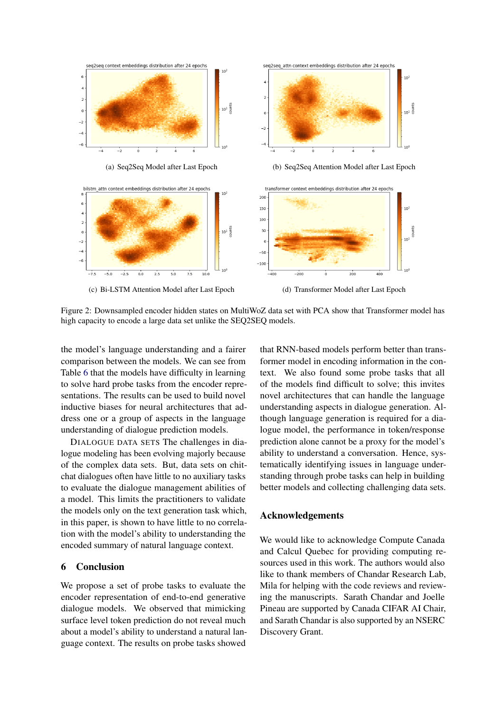<span id="page-7-0"></span>

Figure 2: Downsampled encoder hidden states on MultiWoZ data set with PCA show that Transformer model has high capacity to encode a large data set unlike the SEQ2SEQ models.

the model's language understanding and a fairer comparison between the models. We can see from Table [6](#page-6-1) that the models have difficulty in learning to solve hard probe tasks from the encoder representations. The results can be used to build novel inductive biases for neural architectures that address one or a group of aspects in the language understanding of dialogue prediction models.

DIALOGUE DATA SETS The challenges in dialogue modeling has been evolving majorly because of the complex data sets. But, data sets on chitchat dialogues often have little to no auxiliary tasks to evaluate the dialogue management abilities of a model. This limits the practitioners to validate the models only on the text generation task which, in this paper, is shown to have little to no correlation with the model's ability to understanding the encoded summary of natural language context.

## 6 Conclusion

We propose a set of probe tasks to evaluate the encoder representation of end-to-end generative dialogue models. We observed that mimicking surface level token prediction do not reveal much about a model's ability to understand a natural language context. The results on probe tasks showed that RNN-based models perform better than transformer model in encoding information in the context. We also found some probe tasks that all of the models find difficult to solve; this invites novel architectures that can handle the language understanding aspects in dialogue generation. Although language generation is required for a dialogue model, the performance in token/response prediction alone cannot be a proxy for the model's ability to understand a conversation. Hence, systematically identifying issues in language understanding through probe tasks can help in building better models and collecting challenging data sets.

## Acknowledgements

We would like to acknowledge Compute Canada and Calcul Quebec for providing computing resources used in this work. The authors would also like to thank members of Chandar Research Lab, Mila for helping with the code reviews and reviewing the manuscripts. Sarath Chandar and Joelle Pineau are supported by Canada CIFAR AI Chair, and Sarath Chandar is also supported by an NSERC Discovery Grant.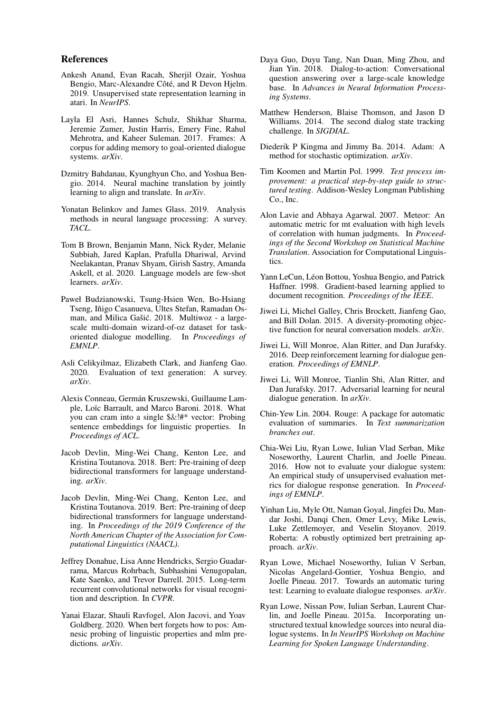#### References

- <span id="page-8-14"></span>Ankesh Anand, Evan Racah, Sherjil Ozair, Yoshua Bengio, Marc-Alexandre Côté, and R Devon Hjelm. 2019. Unsupervised state representation learning in atari. In *NeurIPS*.
- <span id="page-8-2"></span>Layla El Asri, Hannes Schulz, Shikhar Sharma, Jeremie Zumer, Justin Harris, Emery Fine, Rahul Mehrotra, and Kaheer Suleman. 2017. Frames: A corpus for adding memory to goal-oriented dialogue systems. *arXiv*.
- <span id="page-8-19"></span>Dzmitry Bahdanau, Kyunghyun Cho, and Yoshua Bengio. 2014. Neural machine translation by jointly learning to align and translate. In *arXiv*.
- <span id="page-8-12"></span>Yonatan Belinkov and James Glass. 2019. Analysis methods in neural language processing: A survey. *TACL*.
- <span id="page-8-21"></span>Tom B Brown, Benjamin Mann, Nick Ryder, Melanie Subbiah, Jared Kaplan, Prafulla Dhariwal, Arvind Neelakantan, Pranav Shyam, Girish Sastry, Amanda Askell, et al. 2020. Language models are few-shot learners. *arXiv*.
- <span id="page-8-7"></span>Paweł Budzianowski, Tsung-Hsien Wen, Bo-Hsiang Tseng, Iñigo Casanueva, Ultes Stefan, Ramadan Osman, and Milica Gašić. 2018. Multiwoz - a largescale multi-domain wizard-of-oz dataset for taskoriented dialogue modelling. In *Proceedings of EMNLP*.
- <span id="page-8-10"></span>Asli Celikyilmaz, Elizabeth Clark, and Jianfeng Gao. 2020. Evaluation of text generation: A survey. *arXiv*.
- <span id="page-8-11"></span>Alexis Conneau, Germán Kruszewski, Guillaume Lample, Loïc Barrault, and Marco Baroni. 2018. What you can cram into a single \$&!#\* vector: Probing sentence embeddings for linguistic properties. In *Proceedings of ACL*.
- <span id="page-8-22"></span>Jacob Devlin, Ming-Wei Chang, Kenton Lee, and Kristina Toutanova. 2018. Bert: Pre-training of deep bidirectional transformers for language understanding. *arXiv*.
- <span id="page-8-23"></span>Jacob Devlin, Ming-Wei Chang, Kenton Lee, and Kristina Toutanova. 2019. Bert: Pre-training of deep bidirectional transformers for language understanding. In *Proceedings of the 2019 Conference of the North American Chapter of the Association for Computational Linguistics (NAACL)*.
- <span id="page-8-15"></span>Jeffrey Donahue, Lisa Anne Hendricks, Sergio Guadarrama, Marcus Rohrbach, Subhashini Venugopalan, Kate Saenko, and Trevor Darrell. 2015. Long-term recurrent convolutional networks for visual recognition and description. In *CVPR*.
- <span id="page-8-13"></span>Yanai Elazar, Shauli Ravfogel, Alon Jacovi, and Yoav Goldberg. 2020. When bert forgets how to pos: Amnesic probing of linguistic properties and mlm predictions. *arXiv*.
- <span id="page-8-1"></span>Daya Guo, Duyu Tang, Nan Duan, Ming Zhou, and Jian Yin. 2018. Dialog-to-action: Conversational question answering over a large-scale knowledge base. In *Advances in Neural Information Processing Systems*.
- <span id="page-8-17"></span>Matthew Henderson, Blaise Thomson, and Jason D Williams. 2014. The second dialog state tracking challenge. In *SIGDIAL*.
- <span id="page-8-18"></span>Diederik P Kingma and Jimmy Ba. 2014. Adam: A method for stochastic optimization. *arXiv*.
- <span id="page-8-25"></span>Tim Koomen and Martin Pol. 1999. *Test process improvement: a practical step-by-step guide to structured testing*. Addison-Wesley Longman Publishing Co., Inc.
- <span id="page-8-9"></span>Alon Lavie and Abhaya Agarwal. 2007. Meteor: An automatic metric for mt evaluation with high levels of correlation with human judgments. In *Proceedings of the Second Workshop on Statistical Machine Translation*. Association for Computational Linguistics.
- <span id="page-8-16"></span>Yann LeCun, Léon Bottou, Yoshua Bengio, and Patrick Haffner. 1998. Gradient-based learning applied to document recognition. *Proceedings of the IEEE*.
- <span id="page-8-20"></span>Jiwei Li, Michel Galley, Chris Brockett, Jianfeng Gao, and Bill Dolan. 2015. A diversity-promoting objective function for neural conversation models. *arXiv*.
- <span id="page-8-3"></span>Jiwei Li, Will Monroe, Alan Ritter, and Dan Jurafsky. 2016. Deep reinforcement learning for dialogue generation. *Proceedings of EMNLP*.
- <span id="page-8-4"></span>Jiwei Li, Will Monroe, Tianlin Shi, Alan Ritter, and Dan Jurafsky. 2017. Adversarial learning for neural dialogue generation. In *arXiv*.
- <span id="page-8-8"></span>Chin-Yew Lin. 2004. Rouge: A package for automatic evaluation of summaries. In *Text summarization branches out*.
- <span id="page-8-5"></span>Chia-Wei Liu, Ryan Lowe, Iulian Vlad Serban, Mike Noseworthy, Laurent Charlin, and Joelle Pineau. 2016. How not to evaluate your dialogue system: An empirical study of unsupervised evaluation metrics for dialogue response generation. In *Proceedings of EMNLP*.
- <span id="page-8-24"></span>Yinhan Liu, Myle Ott, Naman Goyal, Jingfei Du, Mandar Joshi, Danqi Chen, Omer Levy, Mike Lewis, Luke Zettlemoyer, and Veselin Stoyanov. 2019. Roberta: A robustly optimized bert pretraining approach. *arXiv*.
- <span id="page-8-6"></span>Ryan Lowe, Michael Noseworthy, Iulian V Serban, Nicolas Angelard-Gontier, Yoshua Bengio, and Joelle Pineau. 2017. Towards an automatic turing test: Learning to evaluate dialogue responses. *arXiv*.
- <span id="page-8-0"></span>Ryan Lowe, Nissan Pow, Iulian Serban, Laurent Charlin, and Joelle Pineau. 2015a. Incorporating unstructured textual knowledge sources into neural dialogue systems. In *In NeurIPS Workshop on Machine Learning for Spoken Language Understanding*.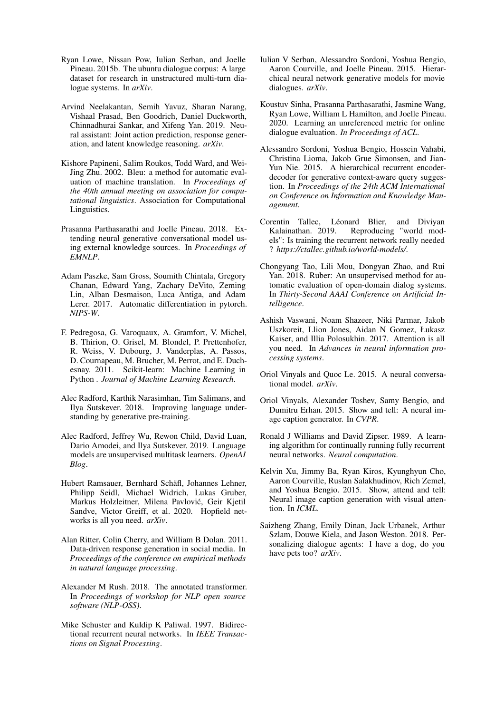- <span id="page-9-21"></span>Ryan Lowe, Nissan Pow, Iulian Serban, and Joelle Pineau. 2015b. The ubuntu dialogue corpus: A large dataset for research in unstructured multi-turn dialogue systems. In *arXiv*.
- <span id="page-9-9"></span>Arvind Neelakantan, Semih Yavuz, Sharan Narang, Vishaal Prasad, Ben Goodrich, Daniel Duckworth, Chinnadhurai Sankar, and Xifeng Yan. 2019. Neural assistant: Joint action prediction, response generation, and latent knowledge reasoning. *arXiv*.
- <span id="page-9-6"></span>Kishore Papineni, Salim Roukos, Todd Ward, and Wei-Jing Zhu. 2002. Bleu: a method for automatic evaluation of machine translation. In *Proceedings of the 40th annual meeting on association for computational linguistics*. Association for Computational Linguistics.
- <span id="page-9-2"></span>Prasanna Parthasarathi and Joelle Pineau. 2018. Extending neural generative conversational model using external knowledge sources. In *Proceedings of EMNLP*.
- <span id="page-9-15"></span>Adam Paszke, Sam Gross, Soumith Chintala, Gregory Chanan, Edward Yang, Zachary DeVito, Zeming Lin, Alban Desmaison, Luca Antiga, and Adam Lerer. 2017. Automatic differentiation in pytorch. *NIPS-W*.
- <span id="page-9-16"></span>F. Pedregosa, G. Varoquaux, A. Gramfort, V. Michel, B. Thirion, O. Grisel, M. Blondel, P. Prettenhofer, R. Weiss, V. Dubourg, J. Vanderplas, A. Passos, D. Cournapeau, M. Brucher, M. Perrot, and E. Duchesnay. 2011. Scikit-learn: Machine Learning in Python . *Journal of Machine Learning Research*.
- <span id="page-9-19"></span>Alec Radford, Karthik Narasimhan, Tim Salimans, and Ilya Sutskever. 2018. Improving language understanding by generative pre-training.
- <span id="page-9-20"></span>Alec Radford, Jeffrey Wu, Rewon Child, David Luan, Dario Amodei, and Ilya Sutskever. 2019. Language models are unsupervised multitask learners. *OpenAI Blog*.
- <span id="page-9-18"></span>Hubert Ramsauer, Bernhard Schäfl, Johannes Lehner, Philipp Seidl, Michael Widrich, Lukas Gruber, Markus Holzleitner, Milena Pavlović, Geir Kjetil Sandve, Victor Greiff, et al. 2020. Hopfield networks is all you need. *arXiv*.
- <span id="page-9-22"></span>Alan Ritter, Colin Cherry, and William B Dolan. 2011. Data-driven response generation in social media. In *Proceedings of the conference on empirical methods in natural language processing*.
- <span id="page-9-14"></span>Alexander M Rush. 2018. The annotated transformer. In *Proceedings of workshop for NLP open source software (NLP-OSS)*.
- <span id="page-9-12"></span>Mike Schuster and Kuldip K Paliwal. 1997. Bidirectional recurrent neural networks. In *IEEE Transactions on Signal Processing*.
- <span id="page-9-1"></span>Iulian V Serban, Alessandro Sordoni, Yoshua Bengio, Aaron Courville, and Joelle Pineau. 2015. Hierarchical neural network generative models for movie dialogues. *arXiv*.
- <span id="page-9-3"></span>Koustuv Sinha, Prasanna Parthasarathi, Jasmine Wang, Ryan Lowe, William L Hamilton, and Joelle Pineau. 2020. Learning an unreferenced metric for online dialogue evaluation. *In Proceedings of ACL*.
- <span id="page-9-11"></span>Alessandro Sordoni, Yoshua Bengio, Hossein Vahabi, Christina Lioma, Jakob Grue Simonsen, and Jian-Yun Nie. 2015. A hierarchical recurrent encoderdecoder for generative context-aware query suggestion. In *Proceedings of the 24th ACM International on Conference on Information and Knowledge Management*.
- <span id="page-9-17"></span>Corentin Tallec, Léonard Blier, and Diviyan Kalainathan. 2019. Reproducing "world models": Is training the recurrent network really needed ? *https://ctallec.github.io/world-models/*.
- <span id="page-9-4"></span>Chongyang Tao, Lili Mou, Dongyan Zhao, and Rui Yan. 2018. Ruber: An unsupervised method for automatic evaluation of open-domain dialog systems. In *Thirty-Second AAAI Conference on Artificial Intelligence*.
- <span id="page-9-13"></span>Ashish Vaswani, Noam Shazeer, Niki Parmar, Jakob Uszkoreit, Llion Jones, Aidan N Gomez, Łukasz Kaiser, and Illia Polosukhin. 2017. Attention is all you need. In *Advances in neural information processing systems*.
- <span id="page-9-0"></span>Oriol Vinyals and Quoc Le. 2015. A neural conversational model. *arXiv*.
- <span id="page-9-7"></span>Oriol Vinyals, Alexander Toshev, Samy Bengio, and Dumitru Erhan. 2015. Show and tell: A neural image caption generator. In *CVPR*.
- <span id="page-9-10"></span>Ronald J Williams and David Zipser. 1989. A learning algorithm for continually running fully recurrent neural networks. *Neural computation*.
- <span id="page-9-8"></span>Kelvin Xu, Jimmy Ba, Ryan Kiros, Kyunghyun Cho, Aaron Courville, Ruslan Salakhudinov, Rich Zemel, and Yoshua Bengio. 2015. Show, attend and tell: Neural image caption generation with visual attention. In *ICML*.
- <span id="page-9-5"></span>Saizheng Zhang, Emily Dinan, Jack Urbanek, Arthur Szlam, Douwe Kiela, and Jason Weston. 2018. Personalizing dialogue agents: I have a dog, do you have pets too? *arXiv*.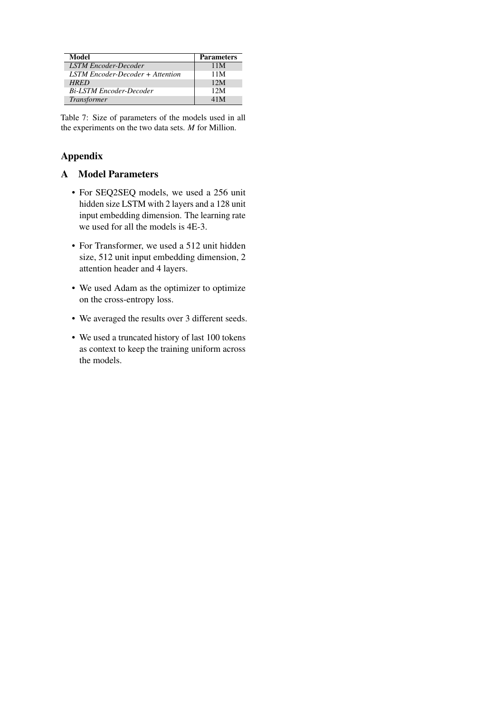<span id="page-10-0"></span>

| Model                            | <b>Parameters</b> |
|----------------------------------|-------------------|
| <b>LSTM Encoder-Decoder</b>      | 11M               |
| LSTM Encoder-Decoder + Attention | 11M               |
| <b>HRED</b>                      | 12M               |
| <b>Bi-LSTM Encoder-Decoder</b>   | 12M               |
| <b>Transformer</b>               | 41M               |

Table 7: Size of parameters of the models used in all the experiments on the two data sets. *M* for Million.

# Appendix

## A Model Parameters

- For SEQ2SEQ models, we used a 256 unit hidden size LSTM with 2 layers and a 128 unit input embedding dimension. The learning rate we used for all the models is 4E-3.
- For Transformer, we used a 512 unit hidden size, 512 unit input embedding dimension, 2 attention header and 4 layers.
- We used Adam as the optimizer to optimize on the cross-entropy loss.
- We averaged the results over 3 different seeds.
- We used a truncated history of last 100 tokens as context to keep the training uniform across the models.